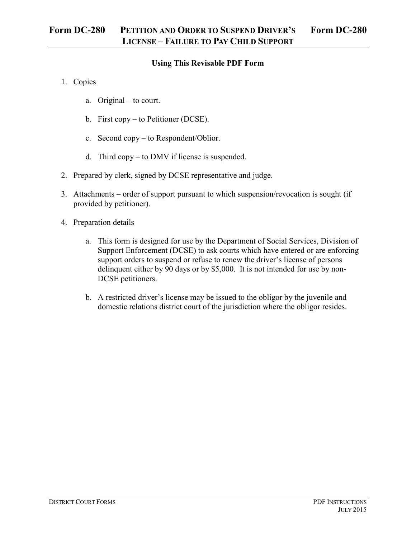## **Using This Revisable PDF Form**

- 1. Copies
	- a. Original to court.
	- b. First copy to Petitioner (DCSE).
	- c. Second copy to Respondent/Oblior.
	- d. Third copy to DMV if license is suspended.
- 2. Prepared by clerk, signed by DCSE representative and judge.
- 3. Attachments order of support pursuant to which suspension/revocation is sought (if provided by petitioner).
- 4. Preparation details
	- a. This form is designed for use by the Department of Social Services, Division of Support Enforcement (DCSE) to ask courts which have entered or are enforcing support orders to suspend or refuse to renew the driver's license of persons delinquent either by 90 days or by \$5,000. It is not intended for use by non-DCSE petitioners.
	- b. A restricted driver's license may be issued to the obligor by the juvenile and domestic relations district court of the jurisdiction where the obligor resides.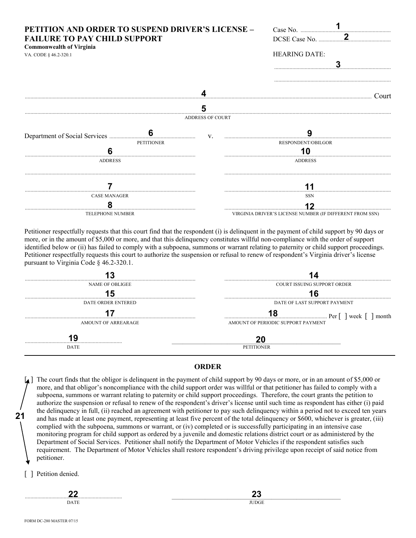| <b>PETITION AND ORDER TO SUSPEND DRIVER'S LICENSE -</b><br><b>FAILURE TO PAY CHILD SUPPORT</b><br><b>Commonwealth of Virginia</b><br>VA. CODE § 46.2-320.1 |                   |                         | Case No.<br>DCSE Case No.<br><b>HEARING DATE:</b>        |
|------------------------------------------------------------------------------------------------------------------------------------------------------------|-------------------|-------------------------|----------------------------------------------------------|
|                                                                                                                                                            |                   |                         | Court                                                    |
|                                                                                                                                                            |                   | 5                       |                                                          |
|                                                                                                                                                            |                   | <b>ADDRESS OF COURT</b> |                                                          |
| Department of Social Services                                                                                                                              | $6 \overline{6}$  | $V$ .                   |                                                          |
|                                                                                                                                                            | <b>PETITIONER</b> |                         | RESPONDENT/OBILGOR                                       |
|                                                                                                                                                            |                   |                         | 10                                                       |
| <b>ADDRESS</b>                                                                                                                                             |                   |                         | <b>ADDRESS</b>                                           |
|                                                                                                                                                            |                   |                         |                                                          |
| <b>CASE MANAGER</b>                                                                                                                                        |                   |                         | <b>SSN</b>                                               |
| 8                                                                                                                                                          |                   |                         |                                                          |
| <b>TELEPHONE NUMBER</b>                                                                                                                                    |                   |                         | VIRGINIA DRIVER'S LICENSE NUMBER (IF DIFFERENT FROM SSN) |

Petitioner respectfully requests that this court find that the respondent (i) is delinquent in the payment of child support by 90 days or more, or in the amount of \$5,000 or more, and that this delinquency constitutes willful non-compliance with the order of support identified below or (ii) has failed to comply with a subpoena, summons or warrant relating to paternity or child support proceedings. Petitioner respectfully requests this court to authorize the suspension or refusal to renew of respondent's Virginia driver's license pursuant to Virginia Code § 46.2-320.1.

| <b>NAME OF OBLIGEE</b> | COURT ISSUING SUPPORT ORDER        |  |  |  |
|------------------------|------------------------------------|--|--|--|
|                        |                                    |  |  |  |
| DATE ORDER ENTERED     | DATE OF LAST SUPPORT PAYMENT       |  |  |  |
|                        |                                    |  |  |  |
| AMOUNT OF ARREARAGE    | AMOUNT OF PERIODIC SUPPORT PAYMENT |  |  |  |
|                        |                                    |  |  |  |
| <b>DATE</b>            | <b>PETITIONER</b>                  |  |  |  |

## **ORDER**

The court finds that the obligor is delinquent in the payment of child support by 90 days or more, or in an amount of \$5,000 or more, and that obligor's noncompliance with the child support order was willful or that petitioner has failed to comply with a subpoena, summons or warrant relating to paternity or child support proceedings. Therefore, the court grants the petition to authorize the suspension or refusal to renew of the respondent's driver's license until such time as respondent has either (i) paid the delinquency in full, (ii) reached an agreement with petitioner to pay such delinquency within a period not to exceed ten years and has made at least one payment, representing at least five percent of the total delinquency or \$600, whichever is greater, (iii) complied with the subpoena, summons or warrant, or (iv) completed or is successfully participating in an intensive case monitoring program for child support as ordered by a juvenile and domestic relations district court or as administered by the Department of Social Services. Petitioner shall notify the Department of Motor Vehicles if the respondent satisfies such requirement. The Department of Motor Vehicles shall restore respondent's driving privilege upon receipt of said notice from petitioner.

[ ] Petition denied.

**21**

...................................................................... \_\_\_\_\_\_\_\_\_\_\_\_\_\_\_\_\_\_\_\_\_\_\_\_\_\_\_\_\_\_\_\_\_\_\_\_\_\_\_\_\_\_\_\_\_\_\_\_\_\_\_\_\_\_\_\_\_\_\_\_\_ DATE JUDGE AND THE SERVICE OF THE SERVICE OF THE SERVICE OF THE SERVICE OF THE SERVICE OF THE SERVICE OF THE S **22 23**